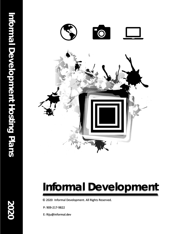

## **Informal Development**

© 2020 Informal Development. All Rights Reserved.

P: 909-217-9822

E: Riju@informal.dev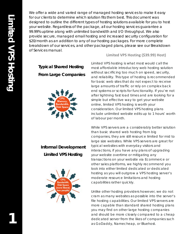**1**

We offer a wide and varied range of managed hosting services to make it easy for our clients to determine which solution fits them best. This document was designed to outline the different types of hosting solutions available for you to host your website. Regardless of the package, all our hosting services guarantee a 99.99% uptime along with unlimited bandwidth and I/O throughput. We also provide secure, managed email hosting and increased security configuration for \$20/month as an addition to any of our hosting packages. For more complete breakdown of our services, and other packaged plans, please see our Breakdown of Services manual.

**Limited VPS Hosting (\$39.99) Host)**

Limited VPS hosting is what most would call the

## **Typical Shared Hosting From Large Companies**



most affordable introductory web hosting solution without sacrificing too much on speed, security, and reliability. This type of hosting is recommended for basic web sites that do not expect to receive large amounts of traffic or rely on complex back end systems or scripts for functionality. If you're not after lightning fast load times and are looking for a simple but effective way to get your website online, limited VPS hosting is worth your consideration. Our limited VPS hosting plans include unlimited website edits up to 1 hours' worth of labour per month.

## **Informal Development Limited VPS Hosting**



While VPS servers are a considerably better solution than basic shared web hosting from big companies, they are still resource limited for mid to large size websites. While VPS servers are great for typical websites with everyday visitors and interactions, if you have any plans of upgrading your website overtime or mitigating any transactions on your website via Ecommerce or other sales platforms, we highly recommend you look into either limited dedicated or dedicated hosting as you will outgrow a VPS hosting server's moderate resource limitations and hosting capabilities rather quickly.

Unlike other hosting providers however, we do not cram as many websites as possible into the server's file hosting capabilities. Our limited VPS servers are more capable than standard shared hosting plans you may find on other large hosting companies and should be more closely compared to a cheap dedicated server from the likes of companies such as GoDaddy, Namecheap, or Bluehost.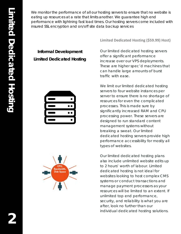We monitor the performance of all our hosting servers to ensure that no website is eating up resources at a rate that limits another. We guarantee high end performance with lightning fast load times. Our hosting servers come included with insured SSL encryption and on/off site data backup services

## **Informal Development Limited Dedicated Hosting**





**Limited Dedicated Hosting (\$59.99) Host)**

Our limited dedicated hosting servers offer a significant performance increase over our VPS deployments. These are higher spec'd machines that can handle large amounts of burst traffic with ease.

We limit our limited dedicated hosting servers to four website instances per server to ensure there is no shortage of resources for even the complicated processes. This is made sure by significantly increased RAM and CPU processing power. These servers are designed to run standard content management systems without breaking a sweat. Our limited dedicated hosting servers provide high performance accessibility for mostly all types of websites.

Our limited dedicated hosting plans also include unlimited website edits up to 2 hours' worth of labour. Limited dedicated hosting is not ideal for websites looking to host complex CMS systems or conduct transactions and manage payment processors as your resources will be limited to an extent. If unlimited top end performance, security, and reliability is what you are after, look no further than our individual dedicated hosting solutions.

**2**